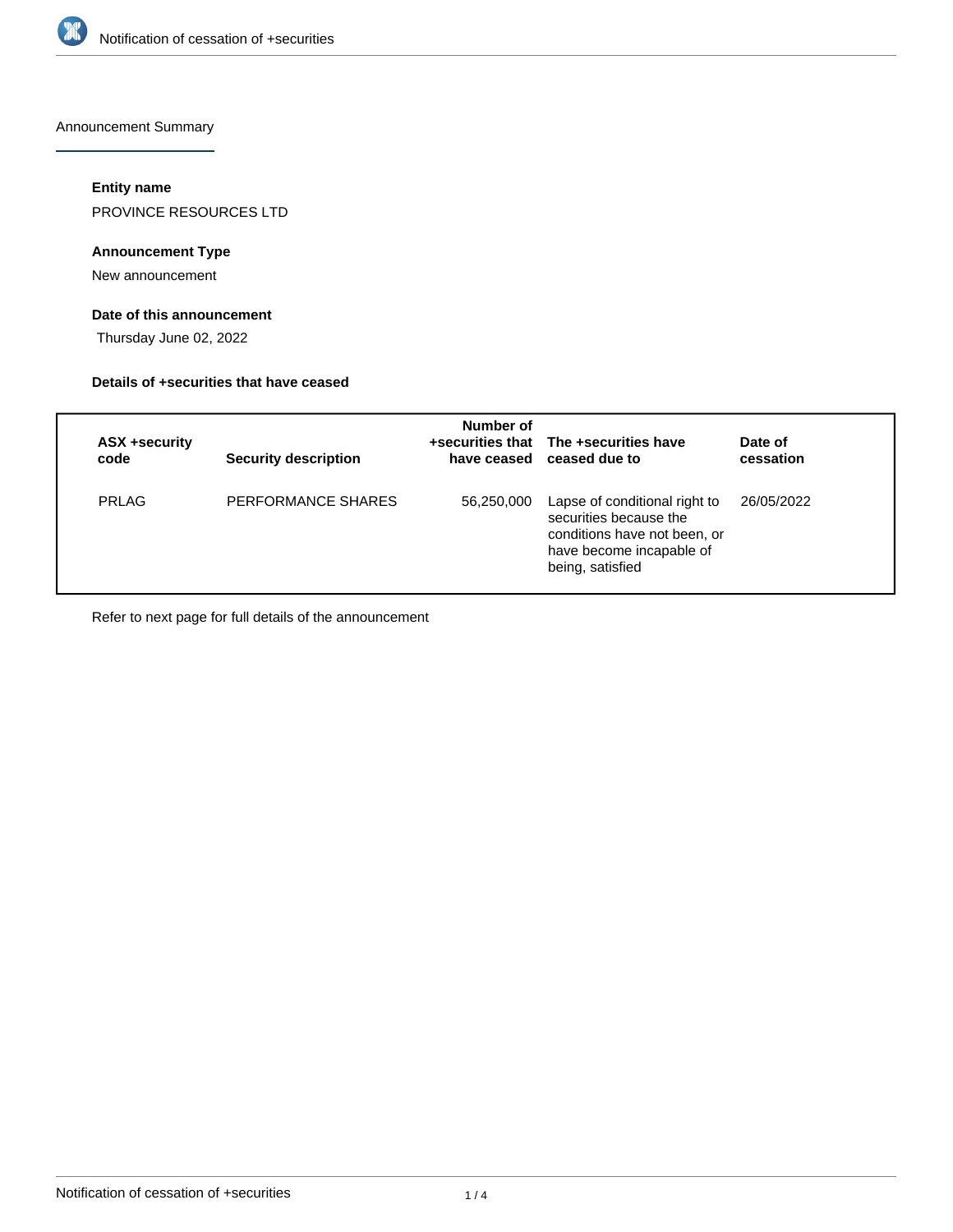

Announcement Summary

## **Entity name**

PROVINCE RESOURCES LTD

## **Announcement Type**

New announcement

# **Date of this announcement**

Thursday June 02, 2022

#### **Details of +securities that have ceased**

| ASX +security<br>code | <b>Security description</b> | Number of  | +securities that The +securities have<br>have ceased ceased due to                                                                      | Date of<br>cessation |
|-----------------------|-----------------------------|------------|-----------------------------------------------------------------------------------------------------------------------------------------|----------------------|
| <b>PRLAG</b>          | PERFORMANCE SHARES          | 56,250,000 | Lapse of conditional right to<br>securities because the<br>conditions have not been, or<br>have become incapable of<br>being, satisfied | 26/05/2022           |

Refer to next page for full details of the announcement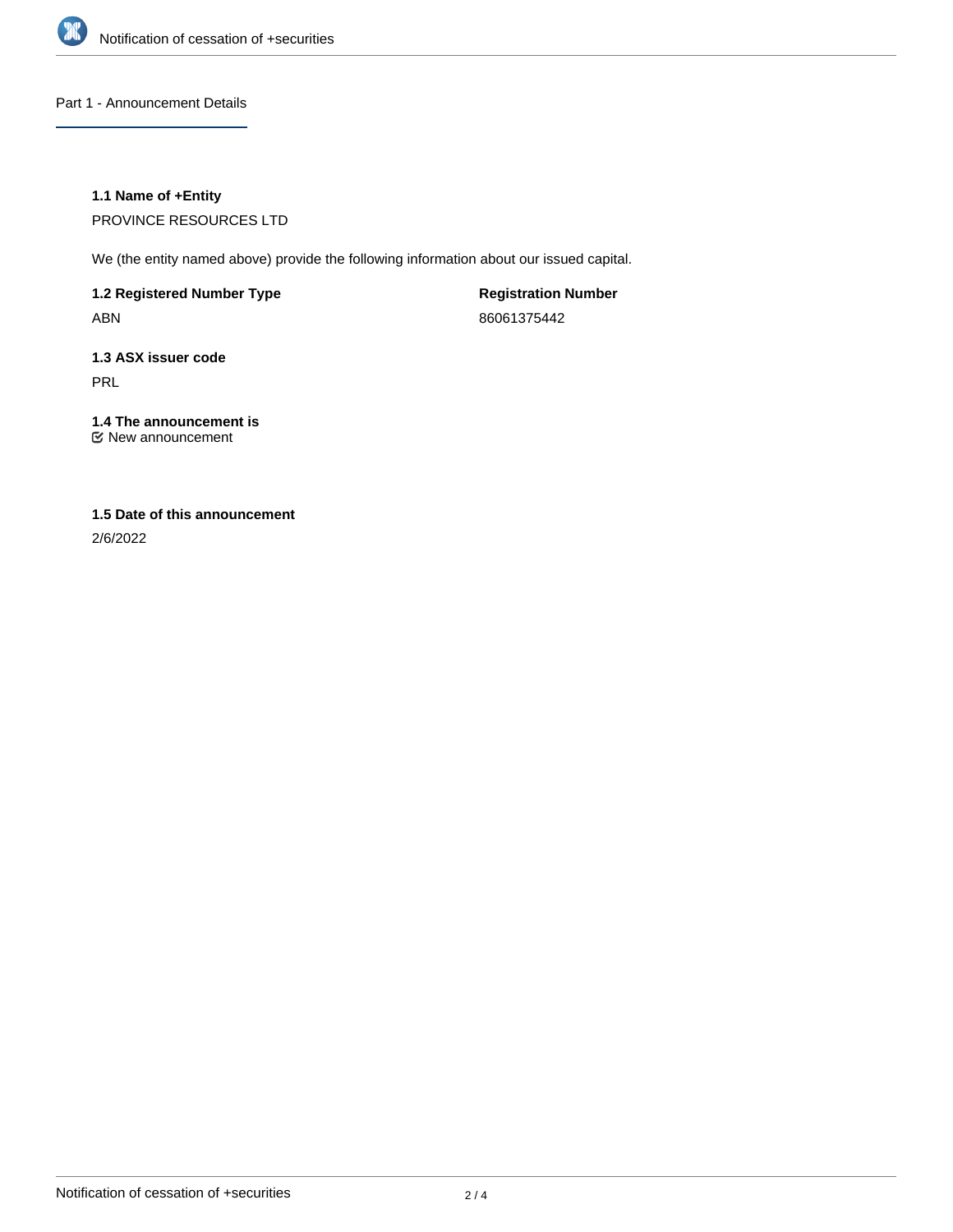

Part 1 - Announcement Details

# **1.1 Name of +Entity**

PROVINCE RESOURCES LTD

We (the entity named above) provide the following information about our issued capital.

**1.2 Registered Number Type** ABN

**Registration Number** 86061375442

**1.3 ASX issuer code** PRL

**1.4 The announcement is** New announcement

# **1.5 Date of this announcement**

2/6/2022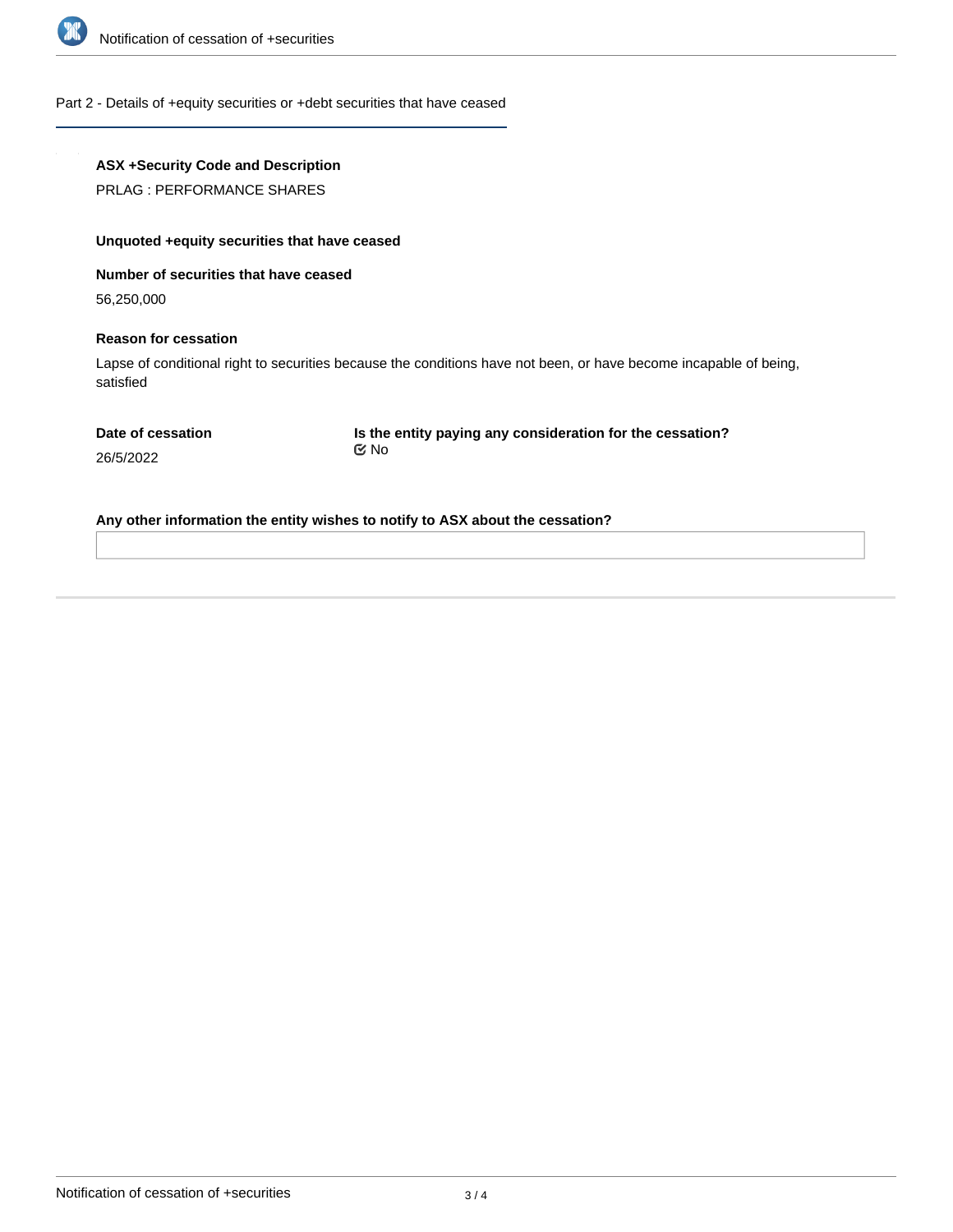

Part 2 - Details of +equity securities or +debt securities that have ceased

# **ASX +Security Code and Description**

PRLAG : PERFORMANCE SHARES

# **Unquoted +equity securities that have ceased**

**Number of securities that have ceased**

56,250,000

#### **Reason for cessation**

Lapse of conditional right to securities because the conditions have not been, or have become incapable of being, satisfied

**Is the entity paying any consideration for the cessation?** No

26/5/2022

**Any other information the entity wishes to notify to ASX about the cessation?**